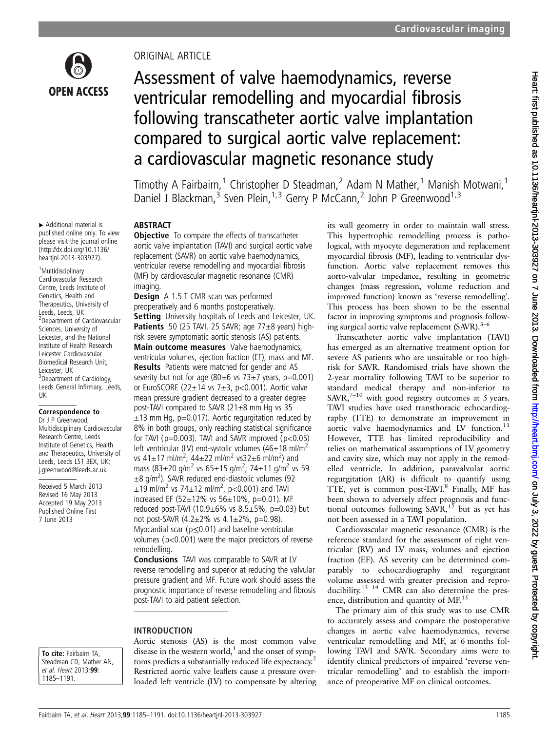

▸ Additional material is published online only. To view please visit the journal online [\(http://dx.doi.org/10.1136/](http://dx.doi.org/10.1136/heartjnl-2013-303927) [heartjnl-2013-303927](http://dx.doi.org/10.1136/heartjnl-2013-303927)).

#### 1 Multidisciplinary

Cardiovascular Research Centre, Leeds Institute of Genetics, Health and Therapeutics, University of Leeds, Leeds, UK 2 Department of Cardiovascular Sciences, University of Leicester, and the National Institute of Health Research Leicester Cardiovascular Biomedical Research Unit, Leicester, UK <sup>3</sup> Department of Cardiology, Leeds General Infirmary, Leeds, UK

#### Correspondence to

Dr J P Greenwood, Multidisciplinary Cardiovascular Research Centre, Leeds Institute of Genetics, Health and Therapeutics, University of Leeds, Leeds LS1 3EX, UK; j.greenwood@leeds.ac.uk

Received 5 March 2013 Revised 16 May 2013 Accepted 19 May 2013 Published Online First 7 June 2013

#### To cite: Fairbairn TA, Steadman CD, Mather AN, et al. Heart 2013;99: 1185–1191.

ORIGINAL ARTICLE

# Assessment of valve haemodynamics, reverse ventricular remodelling and myocardial fibrosis following transcatheter aortic valve implantation compared to surgical aortic valve replacement: a cardiovascular magnetic resonance study

Timothy A Fairbairn,<sup>1</sup> Christopher D Steadman,<sup>2</sup> Adam N Mather,<sup>1</sup> Manish Motwani,<sup>1</sup> Daniel J Blackman,<sup>3</sup> Sven Plein,<sup>1,3</sup> Gerry P McCann,<sup>2</sup> John P Greenwood<sup>1,3</sup>

#### ABSTRACT

**Objective** To compare the effects of transcatheter aortic valve implantation (TAVI) and surgical aortic valve replacement (SAVR) on aortic valve haemodynamics, ventricular reverse remodelling and myocardial fibrosis (MF) by cardiovascular magnetic resonance (CMR) imaging.

Design A 1.5 T CMR scan was performed preoperatively and 6 months postoperatively. Setting University hospitals of Leeds and Leicester, UK. **Patients** 50 (25 TAVI, 25 SAVR; age  $77\pm8$  years) highrisk severe symptomatic aortic stenosis (AS) patients. Main outcome measures Valve haemodynamics, ventricular volumes, ejection fraction (EF), mass and MF. Results Patients were matched for gender and AS severity but not for age  $(80±6$  vs  $73±7$  years,  $p=0.001$ ) or EuroSCORE (22 $\pm$ 14 vs 7 $\pm$ 3, p<0.001). Aortic valve mean pressure gradient decreased to a greater degree post-TAVI compared to SAVR (21±8 mm Hg vs 35  $\pm$ 13 mm Hg, p=0.017). Aortic regurgitation reduced by 8% in both groups, only reaching statistical significance for TAVI ( $p=0.003$ ). TAVI and SAVR improved ( $p<0.05$ ) left ventricular (LV) end-systolic volumes (46 $\pm$ 18 ml/m<sup>2</sup> vs 41±17 ml/m<sup>2</sup>; 44±22 ml/m<sup>2</sup> vs32±6 ml/m<sup>2</sup>) and mass (83 $\pm$ 20 g/m<sup>2</sup> vs 65 $\pm$ 15 g/m<sup>2</sup>; 74 $\pm$ 11 g/m<sup>2</sup> vs 59  $\pm$ 8 g/m<sup>2</sup>). SAVR reduced end-diastolic volumes (92  $\pm 19$  ml/m<sup>2</sup> vs 74 $\pm 12$  ml/m<sup>2</sup>, p<0.001) and TAVI increased EF (52 $\pm$ 12% vs 56 $\pm$ 10%, p=0.01). MF reduced post-TAVI (10.9 $\pm$ 6% vs 8.5 $\pm$ 5%, p=0.03) but not post-SAVR (4.2±2% vs 4.1±2%, p=0.98). Myocardial scar (p≤0.01) and baseline ventricular volumes (p<0.001) were the major predictors of reverse remodelling.

Conclusions TAVI was comparable to SAVR at LV reverse remodelling and superior at reducing the valvular pressure gradient and MF. Future work should assess the prognostic importance of reverse remodelling and fibrosis post-TAVI to aid patient selection.

## INTRODUCTION

Aortic stenosis (AS) is the most common valve disease in the western world, $1$  and the onset of symptoms predicts a substantially reduced life expectancy.<sup>2</sup> Restricted aortic valve leaflets cause a pressure overloaded left ventricle (LV) to compensate by altering its wall geometry in order to maintain wall stress. This hypertrophic remodelling process is pathological, with myocyte degeneration and replacement myocardial fibrosis (MF), leading to ventricular dysfunction. Aortic valve replacement removes this aorto-valvular impedance, resulting in geometric changes (mass regression, volume reduction and improved function) known as 'reverse remodelling'. This process has been shown to be the essential factor in improving symptoms and prognosis following surgical aortic valve replacement  $(SAVR).$ <sup>3–6</sup>

Transcatheter aortic valve implantation (TAVI) has emerged as an alternative treatment option for severe AS patients who are unsuitable or too highrisk for SAVR. Randomised trials have shown the 2-year mortality following TAVI to be superior to standard medical therapy and non-inferior to SAVR,<sup>7-10</sup> with good registry outcomes at 5 years. TAVI studies have used transthoracic echocardiography (TTE) to demonstrate an improvement in aortic valve haemodynamics and LV function.<sup>11</sup> However, TTE has limited reproducibility and relies on mathematical assumptions of LV geometry and cavity size, which may not apply in the remodelled ventricle. In addition, paravalvular aortic regurgitation (AR) is difficult to quantify using TTE, yet is common post-TAVI.<sup>8</sup> Finally, MF has been shown to adversely affect prognosis and functional outcomes following  $SAVR,$ <sup>12</sup> but as yet has not been assessed in a TAVI population.

Cardiovascular magnetic resonance (CMR) is the reference standard for the assessment of right ventricular (RV) and LV mass, volumes and ejection fraction (EF). AS severity can be determined comparably to echocardiography and regurgitant volume assessed with greater precision and reproducibility.<sup>13</sup> <sup>14</sup> CMR can also determine the presence, distribution and quantity of MF.<sup>15</sup>

The primary aim of this study was to use CMR to accurately assess and compare the postoperative changes in aortic valve haemodynamics, reverse ventricular remodelling and MF, at 6 months following TAVI and SAVR. Secondary aims were to identify clinical predictors of impaired 'reverse ventricular remodelling' and to establish the importance of preoperative MF on clinical outcomes.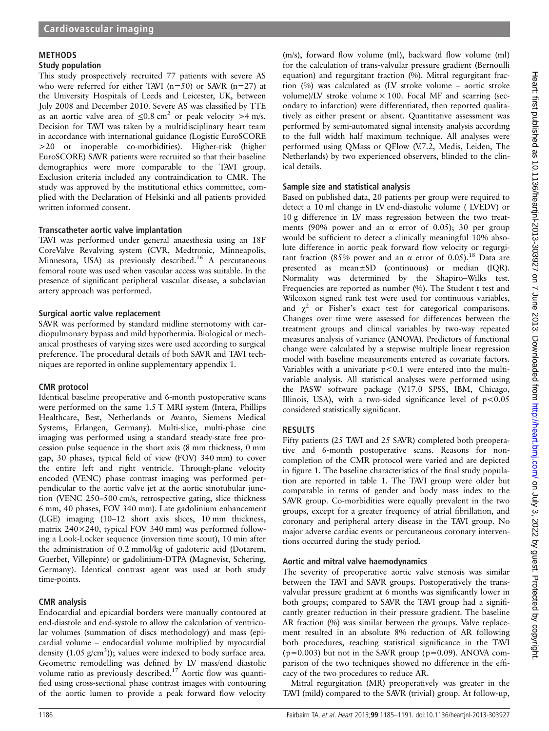#### METHODS

#### Study population

This study prospectively recruited 77 patients with severe AS who were referred for either TAVI ( $n=50$ ) or SAVR ( $n=27$ ) at the University Hospitals of Leeds and Leicester, UK, between July 2008 and December 2010. Severe AS was classified by TTE as an aortic valve area of  $\leq 0.8$  cm<sup>2</sup> or peak velocity >4 m/s. Decision for TAVI was taken by a multidisciplinary heart team in accordance with international guidance (Logistic EuroSCORE >20 or inoperable co-morbidities). Higher-risk (higher EuroSCORE) SAVR patients were recruited so that their baseline demographics were more comparable to the TAVI group. Exclusion criteria included any contraindication to CMR. The study was approved by the institutional ethics committee, complied with the Declaration of Helsinki and all patients provided written informed consent.

## Transcatheter aortic valve implantation

TAVI was performed under general anaesthesia using an 18F CoreValve Revalving system (CVR, Medtronic, Minneapolis, Minnesota, USA) as previously described.<sup>16</sup> A percutaneous femoral route was used when vascular access was suitable. In the presence of significant peripheral vascular disease, a subclavian artery approach was performed.

## Surgical aortic valve replacement

SAVR was performed by standard midline sternotomy with cardiopulmonary bypass and mild hypothermia. Biological or mechanical prostheses of varying sizes were used according to surgical preference. The procedural details of both SAVR and TAVI techniques are reported in online supplementary appendix 1.

## CMR protocol

Identical baseline preoperative and 6-month postoperative scans were performed on the same 1.5 T MRI system (Intera, Phillips Healthcare, Best, Netherlands or Avanto, Siemens Medical Systems, Erlangen, Germany). Multi-slice, multi-phase cine imaging was performed using a standard steady-state free procession pulse sequence in the short axis (8 mm thickness, 0 mm gap, 30 phases, typical field of view (FOV) 340 mm) to cover the entire left and right ventricle. Through-plane velocity encoded (VENC) phase contrast imaging was performed perpendicular to the aortic valve jet at the aortic sinotubular junction (VENC 250–500 cm/s, retrospective gating, slice thickness 6 mm, 40 phases, FOV 340 mm). Late gadolinium enhancement (LGE) imaging (10–12 short axis slices, 10 mm thickness, matrix 240×240, typical FOV 340 mm) was performed following a Look-Locker sequence (inversion time scout), 10 min after the administration of 0.2 mmol/kg of gadoteric acid (Dotarem, Guerbet, Villepinte) or gadolinium-DTPA (Magnevist, Schering, Germany). Identical contrast agent was used at both study time-points.

## CMR analysis

Endocardial and epicardial borders were manually contoured at end-diastole and end-systole to allow the calculation of ventricular volumes (summation of discs methodology) and mass (epicardial volume – endocardial volume multiplied by myocardial density (1.05  $g/cm<sup>3</sup>$ )); values were indexed to body surface area. Geometric remodelling was defined by LV mass/end diastolic volume ratio as previously described.<sup>17</sup> Aortic flow was quantified using cross-sectional phase contrast images with contouring of the aortic lumen to provide a peak forward flow velocity

(m/s), forward flow volume (ml), backward flow volume (ml) for the calculation of trans-valvular pressure gradient (Bernoulli equation) and regurgitant fraction (%). Mitral regurgitant fraction (%) was calculated as (LV stroke volume – aortic stroke volume)/LV stroke volume  $\times$  100. Focal MF and scarring (secondary to infarction) were differentiated, then reported qualitatively as either present or absent. Quantitative assessment was performed by semi-automated signal intensity analysis according to the full width half maximum technique. All analyses were performed using QMass or QFlow (V.7.2, Medis, Leiden, The Netherlands) by two experienced observers, blinded to the clinical details.

## Sample size and statistical analysis

Based on published data, 20 patients per group were required to detect a 10 ml change in LV end-diastolic volume ( LVEDV) or 10 g difference in LV mass regression between the two treatments (90% power and an  $\alpha$  error of 0.05); 30 per group would be sufficient to detect a clinically meaningful 10% absolute difference in aortic peak forward flow velocity or regurgitant fraction (85% power and an α error of 0.05).<sup>18</sup> Data are presented as mean±SD (continuous) or median (IQR). Normality was determined by the Shapiro–Wilks test. Frequencies are reported as number (%). The Student t test and Wilcoxon signed rank test were used for continuous variables, and  $\chi^2$  or Fisher's exact test for categorical comparisons. Changes over time were assessed for differences between the treatment groups and clinical variables by two-way repeated measures analysis of variance (ANOVA). Predictors of functional change were calculated by a stepwise multiple linear regression model with baseline measurements entered as covariate factors. Variables with a univariate  $p < 0.1$  were entered into the multivariable analysis. All statistical analyses were performed using the PASW software package (V.17.0 SPSS, IBM, Chicago, Illinois, USA), with a two-sided significance level of  $p < 0.05$ considered statistically significant.

## RESULTS

Fifty patients (25 TAVI and 25 SAVR) completed both preoperative and 6-month postoperative scans. Reasons for noncompletion of the CMR protocol were varied and are depicted in figure 1. The baseline characteristics of the final study population are reported in table 1. The TAVI group were older but comparable in terms of gender and body mass index to the SAVR group. Co-morbidities were equally prevalent in the two groups, except for a greater frequency of atrial fibrillation, and coronary and peripheral artery disease in the TAVI group. No major adverse cardiac events or percutaneous coronary interventions occurred during the study period.

## Aortic and mitral valve haemodynamics

The severity of preoperative aortic valve stenosis was similar between the TAVI and SAVR groups. Postoperatively the transvalvular pressure gradient at 6 months was significantly lower in both groups; compared to SAVR the TAVI group had a significantly greater reduction in their pressure gradient. The baseline AR fraction (%) was similar between the groups. Valve replacement resulted in an absolute 8% reduction of AR following both procedures, reaching statistical significance in the TAVI  $(p=0.003)$  but not in the SAVR group ( $p=0.09$ ). ANOVA comparison of the two techniques showed no difference in the efficacy of the two procedures to reduce AR.

Mitral regurgitation (MR) preoperatively was greater in the TAVI (mild) compared to the SAVR (trivial) group. At follow-up,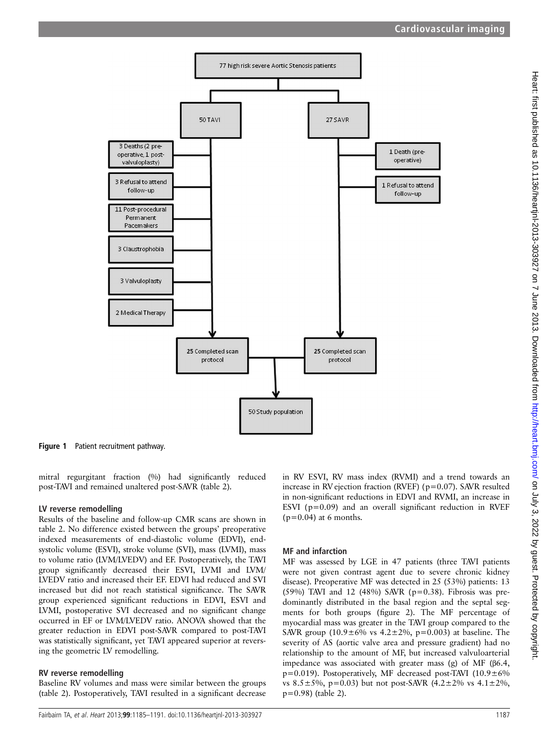

Figure 1 Patient recruitment pathway.

mitral regurgitant fraction (%) had significantly reduced post-TAVI and remained unaltered post-SAVR (table 2).

## LV reverse remodelling

Results of the baseline and follow-up CMR scans are shown in table 2. No difference existed between the groups' preoperative indexed measurements of end-diastolic volume (EDVI), endsystolic volume (ESVI), stroke volume (SVI), mass (LVMI), mass to volume ratio (LVM/LVEDV) and EF. Postoperatively, the TAVI group significantly decreased their ESVI, LVMI and LVM/ LVEDV ratio and increased their EF. EDVI had reduced and SVI increased but did not reach statistical significance. The SAVR group experienced significant reductions in EDVI, ESVI and LVMI, postoperative SVI decreased and no significant change occurred in EF or LVM/LVEDV ratio. ANOVA showed that the greater reduction in EDVI post-SAVR compared to post-TAVI was statistically significant, yet TAVI appeared superior at reversing the geometric LV remodelling.

## RV reverse remodelling

Baseline RV volumes and mass were similar between the groups (table 2). Postoperatively, TAVI resulted in a significant decrease

in RV ESVI, RV mass index (RVMI) and a trend towards an increase in RV ejection fraction (RVEF) (p=0.07). SAVR resulted in non-significant reductions in EDVI and RVMI, an increase in ESVI ( $p=0.09$ ) and an overall significant reduction in RVEF  $(p=0.04)$  at 6 months.

## MF and infarction

MF was assessed by LGE in 47 patients (three TAVI patients were not given contrast agent due to severe chronic kidney disease). Preoperative MF was detected in 25 (53%) patients: 13 (59%) TAVI and 12 (48%) SAVR ( $p=0.38$ ). Fibrosis was predominantly distributed in the basal region and the septal segments for both groups (figure 2). The MF percentage of myocardial mass was greater in the TAVI group compared to the SAVR group  $(10.9 \pm 6\% \text{ vs } 4.2 \pm 2\%, \text{ p} = 0.003)$  at baseline. The severity of AS (aortic valve area and pressure gradient) had no relationship to the amount of MF, but increased valvuloarterial impedance was associated with greater mass (g) of MF (β6.4, p=0.019). Postoperatively, MF decreased post-TAVI (10.9±6% vs  $8.5 \pm 5\%$ , p=0.03) but not post-SAVR (4.2±2% vs  $4.1 \pm 2\%$ , p=0.98) (table 2).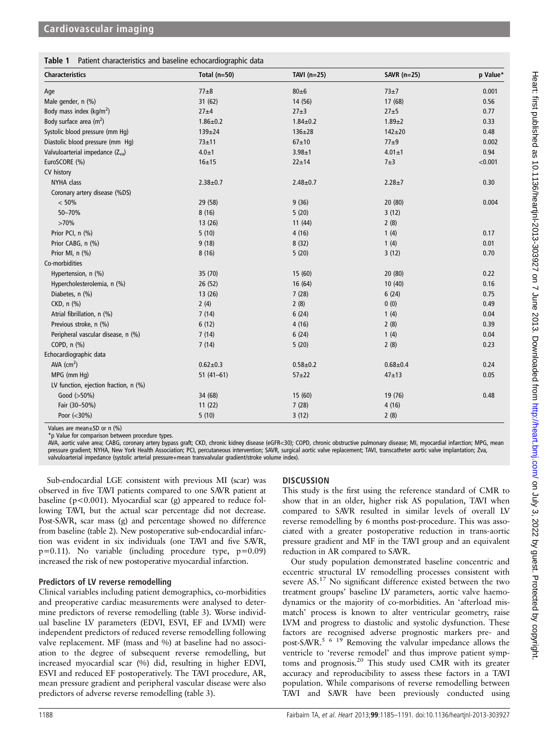| Table 1 Patient characteristics and baseline echocardiographic data |  |  |  |  |  |
|---------------------------------------------------------------------|--|--|--|--|--|
|---------------------------------------------------------------------|--|--|--|--|--|

| <b>Characteristics</b>                | Total $(n=50)$ | TAVI $(n=25)$  | <b>SAVR (n=25)</b> | p Value* |  |
|---------------------------------------|----------------|----------------|--------------------|----------|--|
| Age                                   | $77\pm8$       | $80\pm 6$      | $73\pm7$           | 0.001    |  |
| Male gender, n (%)                    | 31 (62)        | 14 (56)        | 17 (68)            | 0.56     |  |
| Body mass index ( $kg/m2$ )           | $27 + 4$       | $27 + 3$       | $27 + 5$           | 0.77     |  |
| Body surface area $(m^2)$             | $1.86 \pm 0.2$ | $1.84 \pm 0.2$ | $1.89 + 2$         | 0.33     |  |
| Systolic blood pressure (mm Hg)       | $139 \pm 24$   | $136 + 28$     | $142 + 20$         | 0.48     |  |
| Diastolic blood pressure (mm Hg)      | $73 + 11$      | $67 + 10$      | $77\pm9$           | 0.002    |  |
| Valvuloarterial impedance $(Z_{va})$  | $4.0 + 1$      | $3.98 + 1$     | $4.01 + 1$         | 0.94     |  |
| EuroSCORE (%)                         | $16 + 15$      | $22 + 14$      | 7±3                | < 0.001  |  |
| CV history                            |                |                |                    |          |  |
| NYHA class                            | $2.38 + 0.7$   | $2.48 \pm 0.7$ | $2.28 + 7$         | 0.30     |  |
| Coronary artery disease (%DS)         |                |                |                    |          |  |
| < 50%                                 | 29 (58)        | 9(36)          | 20(80)             | 0.004    |  |
| 50-70%                                | 8(16)          | 5(20)          | 3(12)              |          |  |
| >70%                                  | 13(26)         | 11(44)         | 2(8)               |          |  |
| Prior PCI, n (%)                      | 5(10)          | 4(16)          | 1(4)               | 0.17     |  |
| Prior CABG, n (%)                     | 9(18)          | 8(32)          | 1(4)               | 0.01     |  |
| Prior MI, n (%)                       | 8(16)          | 5(20)          | 3(12)              | 0.70     |  |
| Co-morbidities                        |                |                |                    |          |  |
| Hypertension, n (%)                   | 35 (70)        | 15(60)         | 20(80)             | 0.22     |  |
| Hypercholesterolemia, n (%)           | 26(52)         | 16 (64)        | 10(40)             | 0.16     |  |
| Diabetes, n (%)                       | 13(26)         | 7(28)          | 6(24)              | 0.75     |  |
| CKD, n (%)                            | 2(4)           | 2(8)           | 0(0)               | 0.49     |  |
| Atrial fibrillation, n (%)            | 7(14)          | 6(24)          | 1(4)               | 0.04     |  |
| Previous stroke, n (%)                | 6(12)          | 4(16)          | 2(8)               | 0.39     |  |
| Peripheral vascular disease, n (%)    | 7(14)          | 6(24)          | 1(4)               | 0.04     |  |
| COPD, n (%)                           | 7(14)          | 5(20)          | 2(8)               | 0.23     |  |
| Echocardiographic data                |                |                |                    |          |  |
| AVA $(cm2)$                           | $0.62 \pm 0.3$ | $0.58 + 0.2$   | $0.68 + 0.4$       | 0.24     |  |
| MPG (mm Hq)                           | $51(41-61)$    | $57 + 22$      | $47 + 13$          | 0.05     |  |
| LV function, ejection fraction, n (%) |                |                |                    |          |  |
| Good (>50%)                           | 34 (68)        | 15 (60)        | 19 (76)            | 0.48     |  |
| Fair (30-50%)                         | 11(22)         | 7(28)          | 4(16)              |          |  |
| Poor $(<30\%)$                        | 5(10)          | 3(12)          | 2(8)               |          |  |

Values are mean±SD or n (%)

\*p Value for comparison between procedure types.

AVA, aortic valve area; CABG, coronary artery bypass graft; CKD, chronic kidney disease (eGFR<30); COPD, chronic obstructive pulmonary disease; MI, myocardial infarction; MPG, mean pressure gradient; NYHA, New York Health Association; PCI, percutaneous intervention; SAVR, surgical aortic valve replacement; TAVI, transcatheter aortic valve implantation; Zva, valvuloarterial impedance (systolic arterial pressure+mean transvalvular gradient/stroke volume index).

Sub-endocardial LGE consistent with previous MI (scar) was observed in five TAVI patients compared to one SAVR patient at baseline ( $p < 0.001$ ). Myocardial scar (g) appeared to reduce following TAVI, but the actual scar percentage did not decrease. Post-SAVR, scar mass (g) and percentage showed no difference from baseline (table 2). New postoperative sub-endocardial infarction was evident in six individuals (one TAVI and five SAVR,  $p=0.11$ ). No variable (including procedure type,  $p=0.09$ ) increased the risk of new postoperative myocardial infarction.

## Predictors of LV reverse remodelling

Clinical variables including patient demographics, co-morbidities and preoperative cardiac measurements were analysed to determine predictors of reverse remodelling (table 3). Worse individual baseline LV parameters (EDVI, ESVI, EF and LVMI) were independent predictors of reduced reverse remodelling following valve replacement. MF (mass and %) at baseline had no association to the degree of subsequent reverse remodelling, but increased myocardial scar (%) did, resulting in higher EDVI, ESVI and reduced EF postoperatively. The TAVI procedure, AR, mean pressure gradient and peripheral vascular disease were also predictors of adverse reverse remodelling (table 3).

## **DISCUSSION**

This study is the first using the reference standard of CMR to show that in an older, higher risk AS population, TAVI when compared to SAVR resulted in similar levels of overall LV reverse remodelling by 6 months post-procedure. This was associated with a greater postoperative reduction in trans-aortic pressure gradient and MF in the TAVI group and an equivalent reduction in AR compared to SAVR.

Our study population demonstrated baseline concentric and eccentric structural LV remodelling processes consistent with severe AS.<sup>17</sup> No significant difference existed between the two treatment groups' baseline LV parameters, aortic valve haemodynamics or the majority of co-morbidities. An 'afterload mismatch' process is known to alter ventricular geometry, raise LVM and progress to diastolic and systolic dysfunction. These factors are recognised adverse prognostic markers pre- and post-SAVR.5 6 19 Removing the valvular impedance allows the ventricle to 'reverse remodel' and thus improve patient symptoms and prognosis.<sup>20</sup> This study used CMR with its greater accuracy and reproducibility to assess these factors in a TAVI population. While comparisons of reverse remodelling between TAVI and SAVR have been previously conducted using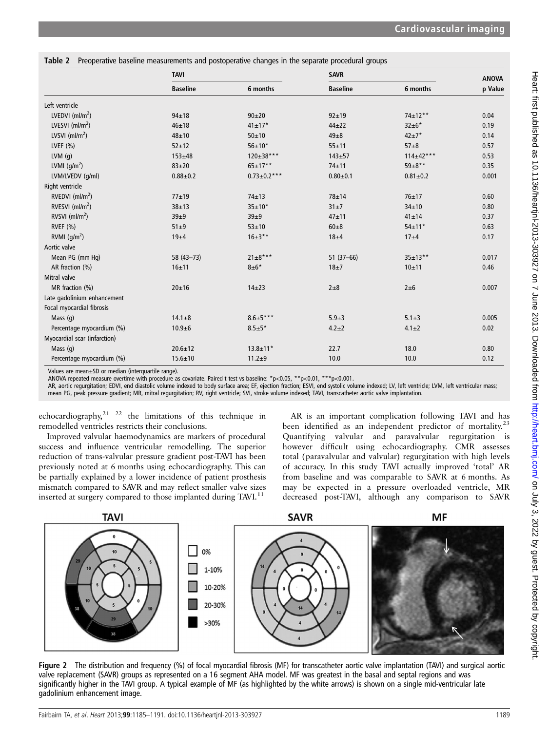|  | Table 2 Preoperative baseline measurements and postoperative changes in the separate procedural groups |  |  |  |  |  |  |  |
|--|--------------------------------------------------------------------------------------------------------|--|--|--|--|--|--|--|
|--|--------------------------------------------------------------------------------------------------------|--|--|--|--|--|--|--|

|                              | <b>TAVI</b>     |                    | <b>SAVR</b>     |                  | <b>ANOVA</b> |
|------------------------------|-----------------|--------------------|-----------------|------------------|--------------|
|                              | <b>Baseline</b> | 6 months           | <b>Baseline</b> | 6 months         | p Value      |
| Left ventricle               |                 |                    |                 |                  |              |
| LVEDVI $(mI/m2)$             | $94 + 18$       | $90+20$            | $92 + 19$       | $74\pm12**$      | 0.04         |
| LVESVI $(mI/m2)$             | $46 + 18$       | $41 \pm 17$ *      | $44 + 22$       | $32 \pm 6*$      | 0.19         |
| LVSVI $(mI/m2)$              | $48 + 10$       | $50 + 10$          | $49\pm8$        | $42 \pm 7*$      | 0.14         |
| LVEF $(% )$                  | $52 + 12$       | $56 \pm 10^{*}$    | $55 + 11$       | $57 + 8$         | 0.57         |
| LVM(q)                       | $153 + 48$      | 120±38***          | $143 + 57$      | $114 \pm 42$ *** | 0.53         |
| LVMI $(g/m^2)$               | $83 + 20$       | $65 \pm 17**$      | $74 + 11$       | $59 \pm 8**$     | 0.35         |
| LVM/LVEDV (g/ml)             | $0.88 + 0.2$    | $0.73 \pm 0.2$ *** | $0.80 + 0.1$    | $0.81 + 0.2$     | 0.001        |
| Right ventricle              |                 |                    |                 |                  |              |
| RVEDVI $(mI/m2)$             | $77 + 19$       | $74 + 13$          | $78 + 14$       | $76 + 17$        | 0.60         |
| RVESVI $(mI/m2)$             | $38 + 13$       | $35 \pm 10^{*}$    | 31±7            | $34 + 10$        | 0.80         |
| RVSVI $(mI/m2)$              | $39+9$          | $39+9$             | $47 + 11$       | $41 \pm 14$      | 0.37         |
| <b>RVEF (%)</b>              | $51\pm9$        | $53 + 10$          | $60\pm8$        | $54 \pm 11*$     | 0.63         |
| RVMI $(q/m2)$                | 19±4            | $16 \pm 3**$       | $18\pm4$        | $17\pm4$         | 0.17         |
| Aortic valve                 |                 |                    |                 |                  |              |
| Mean PG (mm Hg)              | $58(43 - 73)$   | $21\pm8***$        | $51(37-66)$     | 35±13**          | 0.017        |
| AR fraction (%)              | $16 + 11$       | $8\pm6*$           | $18\pm7$        | $10 + 11$        | 0.46         |
| Mitral valve                 |                 |                    |                 |                  |              |
| MR fraction (%)              | 20±16           | $14 + 23$          | $2\pm8$         | $2\pm 6$         | 0.007        |
| Late gadolinium enhancement  |                 |                    |                 |                  |              |
| Focal myocardial fibrosis    |                 |                    |                 |                  |              |
| Mass $(q)$                   | $14.1 \pm 8$    | $8.6 \pm 5***$     | $5.9 + 3$       | $5.1 + 3$        | 0.005        |
| Percentage myocardium (%)    | $10.9 + 6$      | $8.5 \pm 5*$       | $4.2 + 2$       | $4.1 \pm 2$      | 0.02         |
| Myocardial scar (infarction) |                 |                    |                 |                  |              |
| Mass $(q)$                   | $20.6 \pm 12$   | $13.8 \pm 11^*$    | 22.7            | 18.0             | 0.80         |
| Percentage myocardium (%)    | $15.6 \pm 10$   | $11.2 + 9$         | 10.0            | 10.0             | 0.12         |

Values are mean±SD or median (interquartile range).

ANOVA repeated measure overtime with procedure as covariate. Paired t test vs baseline: \*p<0.05, \*\*p<0.01, \*\*\*p<0.001.

AR, aortic regurgitation; EDVI, end diastolic volume indexed to body surface area; EF, ejection fraction; ESVI, end systolic volume indexed; LV, left ventricle; LVM, left ventricular mass; mean PG, peak pressure gradient; MR, mitral regurgitation; RV, right ventricle; SVI, stroke volume indexed; TAVI, transcatheter aortic valve implantation.

echocardiography,  $2^{21}$   $22$  the limitations of this technique in remodelled ventricles restricts their conclusions.

Improved valvular haemodynamics are markers of procedural success and influence ventricular remodelling. The superior reduction of trans-valvular pressure gradient post-TAVI has been previously noted at 6 months using echocardiography. This can be partially explained by a lower incidence of patient prosthesis mismatch compared to SAVR and may reflect smaller valve sizes inserted at surgery compared to those implanted during TAVI. $^{11}$ 

AR is an important complication following TAVI and has been identified as an independent predictor of mortality.<sup>23</sup> Quantifying valvular and paravalvular regurgitation is however difficult using echocardiography. CMR assesses total ( paravalvular and valvular) regurgitation with high levels of accuracy. In this study TAVI actually improved 'total' AR from baseline and was comparable to SAVR at 6 months. As may be expected in a pressure overloaded ventricle, MR decreased post-TAVI, although any comparison to SAVR



Figure 2 The distribution and frequency (%) of focal myocardial fibrosis (MF) for transcatheter aortic valve implantation (TAVI) and surgical aortic valve replacement (SAVR) groups as represented on a 16 segment AHA model. MF was greatest in the basal and septal regions and was significantly higher in the TAVI group. A typical example of MF (as highlighted by the white arrows) is shown on a single mid-ventricular late gadolinium enhancement image.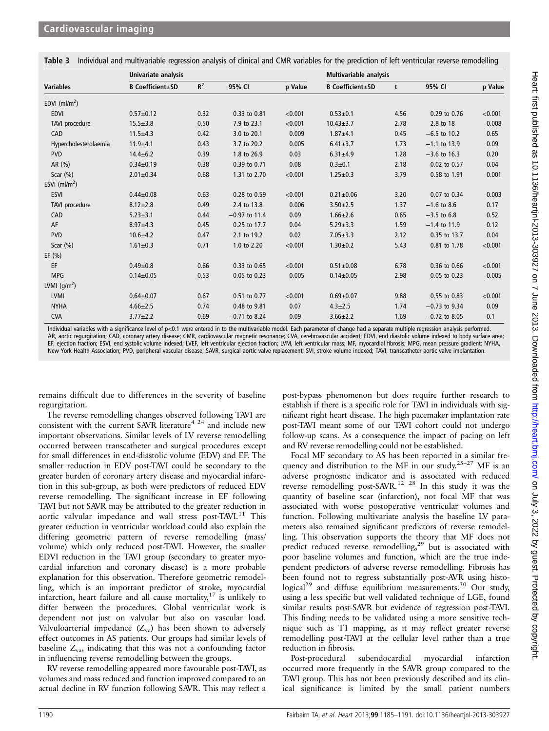|                       | Univariate analysis     |       |                 |         | Multivariable analysis   |      |                 |         |
|-----------------------|-------------------------|-------|-----------------|---------|--------------------------|------|-----------------|---------|
| <b>Variables</b>      | <b>B Coefficient±SD</b> | $R^2$ | 95% CI          | p Value | <b>B Coefficient</b> ±SD | t    | 95% CI          | p Value |
| EDVI $(mI/m2)$        |                         |       |                 |         |                          |      |                 |         |
| <b>EDVI</b>           | $0.57 + 0.12$           | 0.32  | 0.33 to 0.81    | < 0.001 | $0.53 + 0.1$             | 4.56 | 0.29 to 0.76    | < 0.001 |
| TAVI procedure        | $15.5 \pm 3.8$          | 0.50  | 7.9 to 23.1     | < 0.001 | $10.43 \pm 3.7$          | 2.78 | 2.8 to 18       | 0.008   |
| CAD                   | $11.5 \pm 4.3$          | 0.42  | 3.0 to 20.1     | 0.009   | $1.87 + 4.1$             | 0.45 | $-6.5$ to 10.2  | 0.65    |
| Hypercholesterolaemia | $11.9 + 4.1$            | 0.43  | 3.7 to 20.2     | 0.005   | $6.41 \pm 3.7$           | 1.73 | $-1.1$ to 13.9  | 0.09    |
| <b>PVD</b>            | $14.4 \pm 6.2$          | 0.39  | 1.8 to 26.9     | 0.03    | $6.31 \pm 4.9$           | 1.28 | $-3.6$ to 16.3  | 0.20    |
| AR (%)                | $0.34 \pm 0.19$         | 0.38  | 0.39 to 0.71    | 0.08    | $0.3 + 0.1$              | 2.18 | 0.02 to 0.57    | 0.04    |
| Scar $(\%)$           | $2.01 \pm 0.34$         | 0.68  | 1.31 to 2.70    | < 0.001 | $1.25 \pm 0.3$           | 3.79 | 0.58 to 1.91    | 0.001   |
| ESVI $(mI/m2)$        |                         |       |                 |         |                          |      |                 |         |
| <b>ESVI</b>           | $0.44 \pm 0.08$         | 0.63  | 0.28 to 0.59    | < 0.001 | $0.21 \pm 0.06$          | 3.20 | 0.07 to 0.34    | 0.003   |
| TAVI procedure        | $8.12 \pm 2.8$          | 0.49  | 2.4 to 13.8     | 0.006   | $3.50 \pm 2.5$           | 1.37 | $-1.6$ to 8.6   | 0.17    |
| CAD                   | $5.23 \pm 3.1$          | 0.44  | $-0.97$ to 11.4 | 0.09    | $1.66 \pm 2.6$           | 0.65 | $-3.5$ to 6.8   | 0.52    |
| AF                    | $8.97 + 4.3$            | 0.45  | 0.25 to 17.7    | 0.04    | $5.29 \pm 3.3$           | 1.59 | $-1.4$ to 11.9  | 0.12    |
| <b>PVD</b>            | $10.6 + 4.2$            | 0.47  | 2.1 to 19.2     | 0.02    | $7.05 \pm 3.3$           | 2.12 | 0.35 to 13.7    | 0.04    |
| Scar $(%)$            | $1.61 \pm 0.3$          | 0.71  | 1.0 to 2.20     | < 0.001 | $1.30 + 0.2$             | 5.43 | 0.81 to 1.78    | < 0.001 |
| EF $(% )$             |                         |       |                 |         |                          |      |                 |         |
| EF                    | $0.49 + 0.8$            | 0.66  | 0.33 to 0.65    | < 0.001 | $0.51 \pm 0.08$          | 6.78 | 0.36 to 0.66    | < 0.001 |
| <b>MPG</b>            | $0.14 \pm 0.05$         | 0.53  | 0.05 to 0.23    | 0.005   | $0.14 \pm 0.05$          | 2.98 | 0.05 to 0.23    | 0.005   |
| LVMI $(g/m^2)$        |                         |       |                 |         |                          |      |                 |         |
| <b>LVMI</b>           | $0.64 \pm 0.07$         | 0.67  | 0.51 to 0.77    | < 0.001 | $0.69 + 0.07$            | 9.88 | 0.55 to 0.83    | < 0.001 |
| <b>NYHA</b>           | $4.66 \pm 2.5$          | 0.74  | 0.48 to 9.81    | 0.07    | $4.3 \pm 2.5$            | 1.74 | $-0.73$ to 9.34 | 0.09    |
| <b>CVA</b>            | $3.77 \pm 2.2$          | 0.69  | $-0.71$ to 8.24 | 0.09    | $3.66 \pm 2.2$           | 1.69 | $-0.72$ to 8.05 | 0.1     |

Table 3 Individual and multivariable regression analysis of clinical and CMR variables for the prediction of left ventricular reverse remodelling

Individual variables with a significance level of p<0.1 were entered in to the multivariable model. Each parameter of change had a separate multiple regression analysis performed. AR, aortic regurgitation; CAD, coronary artery disease; CMR, cardiovascular magnetic resonance; CVA, cerebrovascular accident; EDVI, end diastolic volume indexed to body surface area; EF, ejection fraction; ESVI, end systolic volume indexed; LVEF, left ventricular ejection fraction; LVM, left ventricular mass; MF, myocardial fibrosis; MPG, mean pressure gradient; NYHA, New York Health Association; PVD, peripheral vascular disease; SAVR, surgical aortic valve replacement; SVI, stroke volume indexed; TAVI, transcatheter aortic valve implantation.

remains difficult due to differences in the severity of baseline regurgitation.

The reverse remodelling changes observed following TAVI are consistent with the current SAVR literature<sup>4 24</sup> and include new important observations. Similar levels of LV reverse remodelling occurred between transcatheter and surgical procedures except for small differences in end-diastolic volume (EDV) and EF. The smaller reduction in EDV post-TAVI could be secondary to the greater burden of coronary artery disease and myocardial infarction in this sub-group, as both were predictors of reduced EDV reverse remodelling. The significant increase in EF following TAVI but not SAVR may be attributed to the greater reduction in aortic valvular impedance and wall stress post-TAVI.<sup>11</sup> This greater reduction in ventricular workload could also explain the differing geometric pattern of reverse remodelling (mass/ volume) which only reduced post-TAVI. However, the smaller EDVI reduction in the TAVI group (secondary to greater myocardial infarction and coronary disease) is a more probable explanation for this observation. Therefore geometric remodelling, which is an important predictor of stroke, myocardial infarction, heart failure and all cause mortality, $17$  is unlikely to differ between the procedures. Global ventricular work is dependent not just on valvular but also on vascular load. Valvuloarterial impedance  $(Z_{va})$  has been shown to adversely effect outcomes in AS patients. Our groups had similar levels of baseline  $Z_{va}$ , indicating that this was not a confounding factor in influencing reverse remodelling between the groups.

RV reverse remodelling appeared more favourable post-TAVI, as volumes and mass reduced and function improved compared to an actual decline in RV function following SAVR. This may reflect a

post-bypass phenomenon but does require further research to establish if there is a specific role for TAVI in individuals with significant right heart disease. The high pacemaker implantation rate post-TAVI meant some of our TAVI cohort could not undergo follow-up scans. As a consequence the impact of pacing on left and RV reverse remodelling could not be established.

Focal MF secondary to AS has been reported in a similar frequency and distribution to the MF in our study.<sup>25-27</sup> MF is an adverse prognostic indicator and is associated with reduced reverse remodelling post-SAVR.12 28 In this study it was the quantity of baseline scar (infarction), not focal MF that was associated with worse postoperative ventricular volumes and function. Following multivariate analysis the baseline LV parameters also remained significant predictors of reverse remodelling. This observation supports the theory that MF does not predict reduced reverse remodelling,<sup>29</sup> but is associated with poor baseline volumes and function, which are the true independent predictors of adverse reverse remodelling. Fibrosis has been found not to regress substantially post-AVR using histological<sup>29</sup> and diffuse equilibrium measurements.<sup>30</sup> Our study, using a less specific but well validated technique of LGE, found similar results post-SAVR but evidence of regression post-TAVI. This finding needs to be validated using a more sensitive technique such as T1 mapping, as it may reflect greater reverse remodelling post-TAVI at the cellular level rather than a true reduction in fibrosis.

Post-procedural subendocardial myocardial infarction occurred more frequently in the SAVR group compared to the TAVI group. This has not been previously described and its clinical significance is limited by the small patient numbers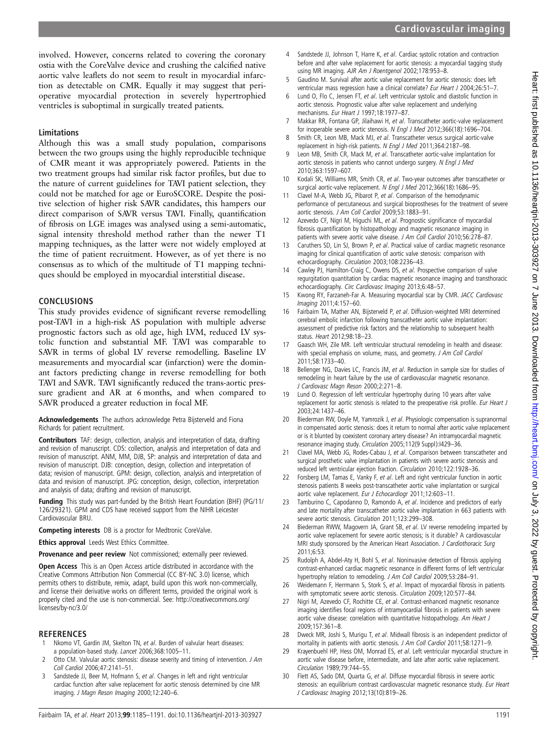involved. However, concerns related to covering the coronary ostia with the CoreValve device and crushing the calcified native aortic valve leaflets do not seem to result in myocardial infarction as detectable on CMR. Equally it may suggest that perioperative myocardial protection in severely hypertrophied ventricles is suboptimal in surgically treated patients.

#### Limitations

Although this was a small study population, comparisons between the two groups using the highly reproducible technique of CMR meant it was appropriately powered. Patients in the two treatment groups had similar risk factor profiles, but due to the nature of current guidelines for TAVI patient selection, they could not be matched for age or EuroSCORE. Despite the positive selection of higher risk SAVR candidates, this hampers our direct comparison of SAVR versus TAVI. Finally, quantification of fibrosis on LGE images was analysed using a semi-automatic, signal intensity threshold method rather than the newer T1 mapping techniques, as the latter were not widely employed at the time of patient recruitment. However, as of yet there is no consensus as to which of the multitude of T1 mapping techniques should be employed in myocardial interstitial disease.

#### **CONCLUSIONS**

This study provides evidence of significant reverse remodelling post-TAVI in a high-risk AS population with multiple adverse prognostic factors such as old age, high LVM, reduced LV systolic function and substantial MF. TAVI was comparable to SAVR in terms of global LV reverse remodelling. Baseline LV measurements and myocardial scar (infarction) were the dominant factors predicting change in reverse remodelling for both TAVI and SAVR. TAVI significantly reduced the trans-aortic pressure gradient and AR at 6 months, and when compared to SAVR produced a greater reduction in focal MF.

#### Acknowledgements The authors acknowledge Petra Bijsterveld and Fiona Richards for patient recruitment.

Contributors TAF: design, collection, analysis and interpretation of data, drafting and revision of manuscript. CDS: collection, analysis and interpretation of data and revision of manuscript. ANM, MM, DJB, SP: analysis and interpretation of data and revision of manuscript. DJB: conception, design, collection and interpretation of data; revision of manuscript. GPM: design, collection, analysis and interpretation of data and revision of manuscript. JPG: conception, design, collection, interpretation and analysis of data; drafting and revision of manuscript.

Funding This study was part-funded by the British Heart Foundation (BHF) (PG/11/ 126/29321). GPM and CDS have received support from the NIHR Leicester Cardiovascular BRU.

Competing interests DB is a proctor for Medtronic CoreValve.

Ethics approval Leeds West Ethics Committee.

Provenance and peer review Not commissioned; externally peer reviewed.

Open Access This is an Open Access article distributed in accordance with the Creative Commons Attribution Non Commercial (CC BY-NC 3.0) license, which permits others to distribute, remix, adapt, build upon this work non-commercially, and license their derivative works on different terms, provided the original work is properly cited and the use is non-commercial. See: http://creativecommons.org/ licenses/by-nc/3.0/

## **REFERENCES**

- Nkomo VT, Gardin JM, Skelton TN, et al. Burden of valvular heart diseases: a population-based study. Lancet 2006;368:1005–11.
- 2 Otto CM. Valvular aortic stenosis: disease severity and timing of intervention. J Am Coll Cardiol 2006;47:2141–51.
- 3 Sandstede JJ, Beer M, Hofmann S, et al. Changes in left and right ventricular cardiac function after valve replacement for aortic stenosis determined by cine MR imaging. J Magn Reson Imaging 2000;12:240–6.
- 4 Sandstede JJ, Johnson T, Harre K, et al. Cardiac systolic rotation and contraction before and after valve replacement for aortic stenosis: a myocardial tagging study using MR imaging. AJR Am J Roentgenol 2002;178:953–8.
- 5 Gaudino M. Survival after aortic valve replacement for aortic stenosis: does left ventricular mass regression have a clinical correlate? Eur Heart J 2004;26:51-7.
- 6 Lund O, Flo C, Jensen FT, et al. Left ventricular systolic and diastolic function in aortic stenosis. Prognostic value after valve replacement and underlying mechanisms. Fur Heart J 1997:18:1977-87.
- 7 Makkar RR, Fontana GP, Jilaihawi H, et al. Transcatheter aortic-valve replacement for inoperable severe aortic stenosis. N Engl J Med 2012;366(18):1696–704.
- 8 Smith CR, Leon MB, Mack MJ, et al. Transcatheter versus surgical aortic-valve replacement in high-risk patients. N Engl J Med 2011;364:2187–98.
- 9 Leon MB, Smith CR, Mack M, et al. Transcatheter aortic-valve implantation for aortic stenosis in patients who cannot undergo surgery. N Engl J Med 2010;363:1597–607.
- 10 Kodali SK, Williams MR, Smith CR, et al. Two-year outcomes after transcatheter or surgical aortic-valve replacement. N Engl J Med 2012;366(18):1686-95.
- 11 Clavel M-A, Webb JG, Pibarot P, et al. Comparison of the hemodynamic performance of percutaneous and surgical bioprostheses for the treatment of severe aortic stenosis. J Am Coll Cardiol 2009;53:1883–91.
- 12 Azevedo CF, Nigri M, Higuchi ML, et al. Prognostic significance of myocardial fibrosis quantification by histopathology and magnetic resonance imaging in patients with severe aortic valve disease. J Am Coll Cardiol 2010;56:278–87.
- 13 Caruthers SD, Lin SJ, Brown P, et al. Practical value of cardiac magnetic resonance imaging for clinical quantification of aortic valve stenosis: comparison with echocardiography. Circulation 2003;108:2236–43.
- 14 Cawley PJ, Hamilton-Craig C, Owens DS, et al. Prospective comparison of valve regurgitation quantitation by cardiac magnetic resonance imaging and transthoracic echocardiography. Circ Cardiovasc Imaging 2013;6:48–57.
- 15 Kwong RY, Farzaneh-Far A. Measuring myocardial scar by CMR. JACC Cardiovasc Imaging 2011;4:157–60.
- 16 Fairbairn TA, Mather AN, Bijsterveld P, et al. Diffusion-weighted MRI determined cerebral embolic infarction following transcatheter aortic valve implantation: assessment of predictive risk factors and the relationship to subsequent health status. Heart 2012;98:18–23.
- 17 Gaasch WH, Zile MR. Left ventricular structural remodeling in health and disease: with special emphasis on volume, mass, and geometry. J Am Coll Cardiol 2011;58:1733–40.
- 18 Bellenger NG, Davies LC, Francis JM, et al. Reduction in sample size for studies of remodeling in heart failure by the use of cardiovascular magnetic resonance. J Cardiovasc Magn Reson 2000;2:271–8.
- Lund O. Regression of left ventricular hypertrophy during 10 years after valve replacement for aortic stenosis is related to the preoperative risk profile. Eur Heart J 2003;24:1437–46.
- 20 Biederman RW, Doyle M, Yamrozik J, et al. Physiologic compensation is supranormal in compensated aortic stenosis: does it return to normal after aortic valve replacement or is it blunted by coexistent coronary artery disease? An intramyocardial magnetic resonance imaging study. Circulation 2005;112(9 Suppl):I429–36.
- 21 Clavel MA, Webb JG, Rodes-Cabau J, et al. Comparison between transcatheter and surgical prosthetic valve implantation in patients with severe aortic stenosis and reduced left ventricular ejection fraction. Circulation 2010;122:1928–36.
- 22 Forsberg LM, Tamas E, Vanky F, et al. Left and right ventricular function in aortic stenosis patients 8 weeks post-transcatheter aortic valve implantation or surgical aortic valve replacement. Eur J Echocardiogr 2011;12:603-11.
- 23 Tamburino C, Capodanno D, Ramondo A, et al. Incidence and predictors of early and late mortality after transcatheter aortic valve implantation in 663 patients with severe aortic stenosis. Circulation 2011;123:299–308.
- 24 Biederman RWW, Magovern JA, Grant SB, et al. LV reverse remodeling imparted by aortic valve replacement for severe aortic stenosis; is it durable? A cardiovascular MRI study sponsored by the American Heart Association. J Cardiothoracic Surg 2011;6:53.
- 25 Rudolph A, Abdel-Aty H, Bohl S, et al. Noninvasive detection of fibrosis applying contrast-enhanced cardiac magnetic resonance in different forms of left ventricular hypertrophy relation to remodeling. J Am Coll Cardiol 2009;53:284–91.
- 26 Weidemann F, Herrmann S, Stork S, et al. Impact of myocardial fibrosis in patients with symptomatic severe aortic stenosis. Circulation 2009;120:577–84.
- 27 Nigri M, Azevedo CF, Rochitte CE, et al. Contrast-enhanced magnetic resonance imaging identifies focal regions of intramyocardial fibrosis in patients with severe aortic valve disease: correlation with quantitative histopathology. Am Heart J 2009;157:361–8.
- 28 Dweck MR, Joshi S, Murigu T, et al. Midwall fibrosis is an independent predictor of mortality in patients with aortic stenosis. J Am Coll Cardiol 2011;58:1271-9.
- 29 Krayenbuehl HP, Hess OM, Monrad ES, et al. Left ventricular myocardial structure in aortic valve disease before, intermediate, and late after aortic valve replacement. Circulation 1989;79:744–55.
- 30 Flett AS, Sado DM, Quarta G, et al. Diffuse myocardial fibrosis in severe aortic stenosis: an equilibrium contrast cardiovascular magnetic resonance study. Eur Heart J Cardiovasc Imaging 2012;13(10):819–26.